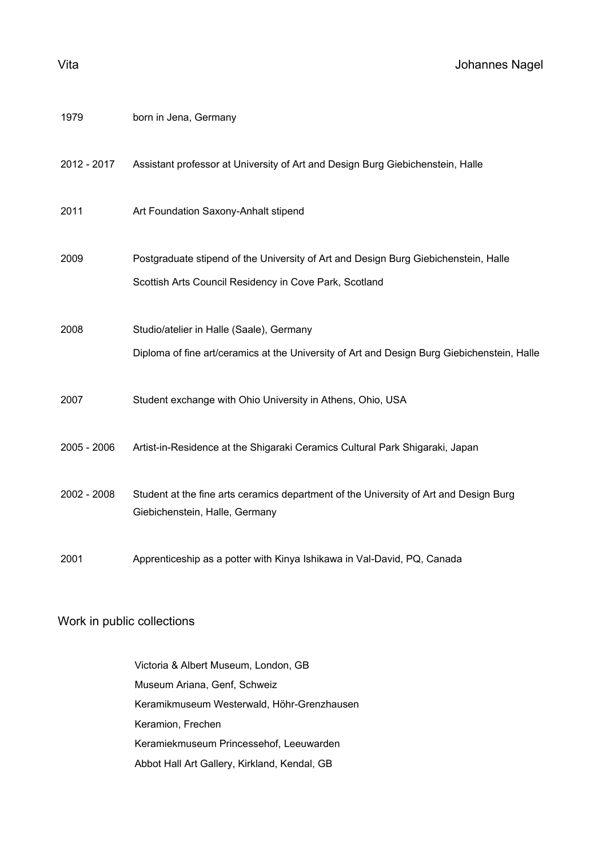| Vita        | Johannes Nagel                                                                                                                                |
|-------------|-----------------------------------------------------------------------------------------------------------------------------------------------|
| 1979        | born in Jena, Germany                                                                                                                         |
| 2012 - 2017 | Assistant professor at University of Art and Design Burg Giebichenstein, Halle                                                                |
| 2011        | Art Foundation Saxony-Anhalt stipend                                                                                                          |
| 2009        | Postgraduate stipend of the University of Art and Design Burg Giebichenstein, Halle<br>Scottish Arts Council Residency in Cove Park, Scotland |
| 2008        | Studio/atelier in Halle (Saale), Germany<br>Diploma of fine art/ceramics at the University of Art and Design Burg Giebichenstein, Halle       |
| 2007        | Student exchange with Ohio University in Athens, Ohio, USA                                                                                    |
| 2005 - 2006 | Artist-in-Residence at the Shigaraki Ceramics Cultural Park Shigaraki, Japan                                                                  |
| 2002 - 2008 | Student at the fine arts ceramics department of the University of Art and Design Burg<br>Giebichenstein, Halle, Germany                       |
| 2001        | Apprenticeship as a potter with Kinya Ishikawa in Val-David, PQ, Canada                                                                       |

## Work in public collections

Victoria & Albert Museum, London, GB Museum Ariana, Genf, Schweiz Keramikmuseum Westerwald, Höhr-Grenzhausen Keramion, Frechen Keramiekmuseum Princessehof, Leeuwarden Abbot Hall Art Gallery, Kirkland, Kendal, GB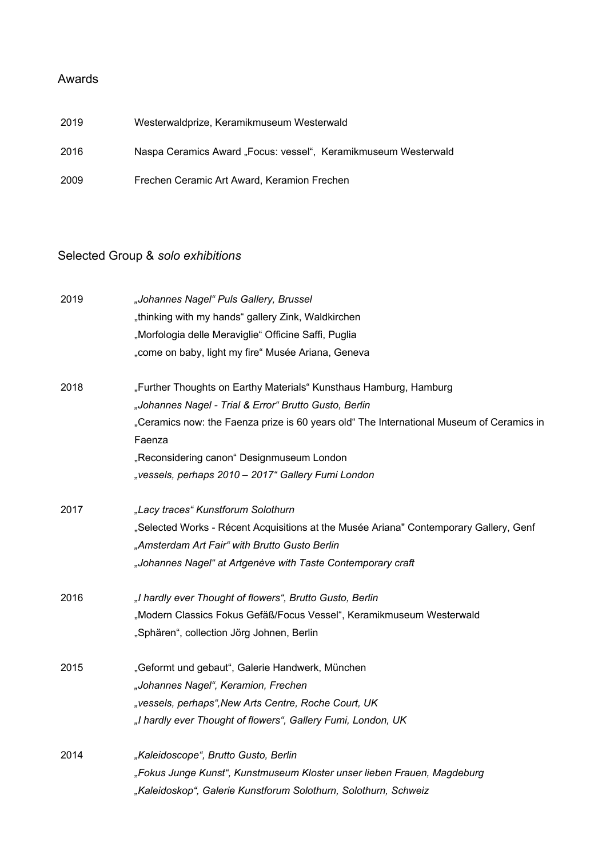## Awards

| 2019 | Westerwaldprize, Keramikmuseum Westerwald                      |
|------|----------------------------------------------------------------|
| 2016 | Naspa Ceramics Award "Focus: vessel", Keramikmuseum Westerwald |
| 2009 | Frechen Ceramic Art Award, Keramion Frechen                    |

## Selected Group & *solo exhibitions*

| 2019 | "Johannes Nagel" Puls Gallery, Brussel                                                             |
|------|----------------------------------------------------------------------------------------------------|
|      | "thinking with my hands" gallery Zink, Waldkirchen                                                 |
|      | "Morfologia delle Meraviglie" Officine Saffi, Puglia                                               |
|      | "come on baby, light my fire" Musée Ariana, Geneva                                                 |
| 2018 | "Further Thoughts on Earthy Materials" Kunsthaus Hamburg, Hamburg                                  |
|      | "Johannes Nagel - Trial & Error" Brutto Gusto, Berlin                                              |
|      | "Ceramics now: the Faenza prize is 60 years old" The International Museum of Ceramics in<br>Faenza |
|      | "Reconsidering canon" Designmuseum London                                                          |
|      | "vessels, perhaps 2010 - 2017" Gallery Fumi London                                                 |
| 2017 | "Lacy traces" Kunstforum Solothurn                                                                 |
|      | "Selected Works - Récent Acquisitions at the Musée Ariana" Contemporary Gallery, Genf              |
|      | "Amsterdam Art Fair" with Brutto Gusto Berlin                                                      |
|      | "Johannes Nagel" at Artgenève with Taste Contemporary craft                                        |
| 2016 | "I hardly ever Thought of flowers", Brutto Gusto, Berlin                                           |
|      | "Modern Classics Fokus Gefäß/Focus Vessel", Keramikmuseum Westerwald                               |
|      | "Sphären", collection Jörg Johnen, Berlin                                                          |
| 2015 | "Geformt und gebaut", Galerie Handwerk, München                                                    |
|      | "Johannes Nagel", Keramion, Frechen                                                                |
|      | "vessels, perhaps", New Arts Centre, Roche Court, UK                                               |
|      | "I hardly ever Thought of flowers", Gallery Fumi, London, UK                                       |
| 2014 | "Kaleidoscope", Brutto Gusto, Berlin                                                               |
|      | "Fokus Junge Kunst", Kunstmuseum Kloster unser lieben Frauen, Magdeburg                            |
|      | "Kaleidoskop", Galerie Kunstforum Solothurn, Solothurn, Schweiz                                    |